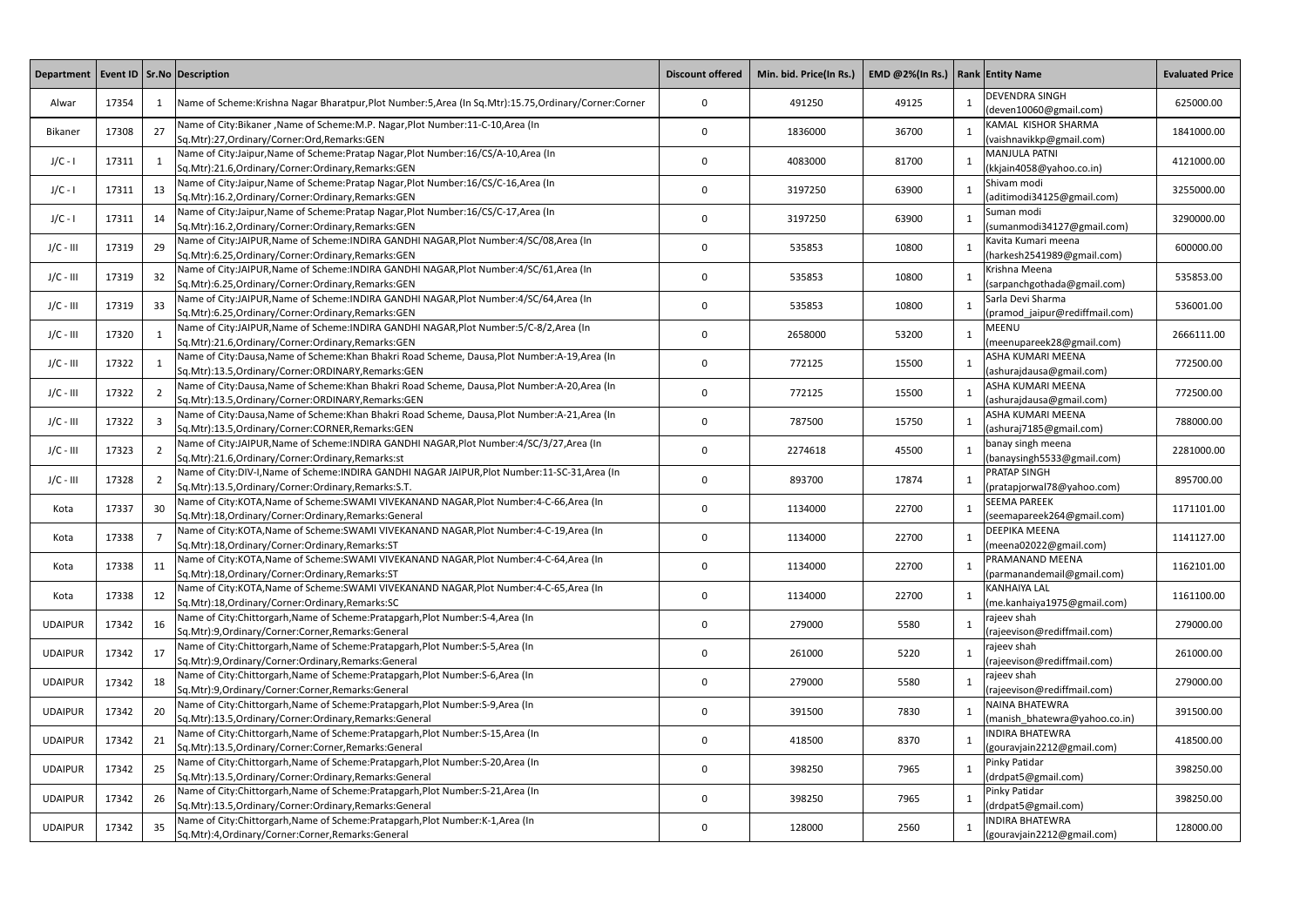| Department   Event ID   Sr.No   Description |       |                |                                                                                                                                                          | <b>Discount offered</b> | Min. bid. Price(In Rs.) | EMD @2%(In Rs.)   Rank Entity Name |                                                      | <b>Evaluated Price</b> |
|---------------------------------------------|-------|----------------|----------------------------------------------------------------------------------------------------------------------------------------------------------|-------------------------|-------------------------|------------------------------------|------------------------------------------------------|------------------------|
| Alwar                                       | 17354 |                | Name of Scheme: Krishna Nagar Bharatpur, Plot Number: 5, Area (In Sq. Mtr): 15.75, Ordinary/Corner: Corner                                               | $\mathbf 0$             | 491250                  | 49125                              | <b>DEVENDRA SINGH</b><br>(deven10060@gmail.com)      | 625000.00              |
| Bikaner                                     | 17308 | 27             | Name of City:Bikaner, Name of Scheme: M.P. Nagar, Plot Number: 11-C-10, Area (In<br>Sq.Mtr):27,Ordinary/Corner:Ord,Remarks:GEN                           | $\mathbf{0}$            | 1836000                 | 36700                              | KAMAL KISHOR SHARMA<br>(vaishnavikkp@gmail.com)      | 1841000.00             |
| $J/C - I$                                   | 17311 |                | Name of City:Jaipur, Name of Scheme: Pratap Nagar, Plot Number: 16/CS/A-10, Area (In<br>Sq.Mtr):21.6, Ordinary/Corner: Ordinary, Remarks: GEN            | $\mathbf{0}$            | 4083000                 | 81700                              | <b>MANJULA PATNI</b><br>(kkjain4058@yahoo.co.in)     | 4121000.00             |
| $J/C - I$                                   | 17311 | -13            | Name of City:Jaipur, Name of Scheme: Pratap Nagar, Plot Number: 16/CS/C-16, Area (In<br>Sq.Mtr):16.2, Ordinary/Corner: Ordinary, Remarks: GEN            | 0                       | 3197250                 | 63900                              | Shivam modi<br>(aditimodi34125@gmail.com)            | 3255000.00             |
| $J/C - I$                                   | 17311 | 14             | Name of City:Jaipur, Name of Scheme: Pratap Nagar, Plot Number: 16/CS/C-17, Area (In<br>Sq.Mtr):16.2, Ordinary/Corner: Ordinary, Remarks: GEN            | 0                       | 3197250                 | 63900                              | Suman modi<br>(sumanmodi34127@gmail.com)             | 3290000.00             |
| $J/C - III$                                 | 17319 | 29             | Name of City:JAIPUR, Name of Scheme: INDIRA GANDHI NAGAR, Plot Number: 4/SC/08, Area (In<br>Sq.Mtr):6.25,Ordinary/Corner:Ordinary,Remarks:GEN            | $\mathbf{0}$            | 535853                  | 10800                              | Kavita Kumari meena<br>(harkesh2541989@gmail.com)    | 600000.00              |
| $J/C - III$                                 | 17319 | 32             | Name of City:JAIPUR, Name of Scheme: INDIRA GANDHI NAGAR, Plot Number: 4/SC/61, Area (In<br>Sq.Mtr):6.25,Ordinary/Corner:Ordinary,Remarks:GEN            | 0                       | 535853                  | 10800                              | Krishna Meena<br>(sarpanchgothada@gmail.com)         | 535853.00              |
| $J/C - III$                                 | 17319 | 33             | Name of City:JAIPUR, Name of Scheme: INDIRA GANDHI NAGAR, Plot Number: 4/SC/64, Area (In<br>Sq.Mtr):6.25, Ordinary/Corner: Ordinary, Remarks: GEN        | 0                       | 535853                  | 10800                              | Sarla Devi Sharma<br>(pramod_jaipur@rediffmail.com)  | 536001.00              |
| $J/C - III$                                 | 17320 |                | Name of City:JAIPUR, Name of Scheme: INDIRA GANDHI NAGAR, Plot Number: 5/C-8/2, Area (In<br>Sq.Mtr):21.6,Ordinary/Corner:Ordinary,Remarks:GEN            | 0                       | 2658000                 | 53200                              | <b>MEENU</b><br>(meenupareek28@gmail.com)            | 2666111.00             |
| $J/C - III$                                 | 17322 |                | Name of City:Dausa, Name of Scheme: Khan Bhakri Road Scheme, Dausa, Plot Number: A-19, Area (In<br>Sq.Mtr):13.5, Ordinary/Corner: ORDINARY, Remarks: GEN | $\mathbf{0}$            | 772125                  | 15500                              | ASHA KUMARI MEENA<br>(ashurajdausa@gmail.com)        | 772500.00              |
| $J/C - III$                                 | 17322 |                | Name of City:Dausa, Name of Scheme: Khan Bhakri Road Scheme, Dausa, Plot Number: A-20, Area (In<br>Sq.Mtr):13.5, Ordinary/Corner: ORDINARY, Remarks: GEN | $\mathbf{0}$            | 772125                  | 15500                              | ASHA KUMARI MEENA<br>(ashurajdausa@gmail.com)        | 772500.00              |
| $J/C - III$                                 | 17322 |                | Name of City:Dausa, Name of Scheme: Khan Bhakri Road Scheme, Dausa, Plot Number: A-21, Area (In<br>Sq.Mtr):13.5, Ordinary/Corner: CORNER, Remarks: GEN   | $\mathbf{0}$            | 787500                  | 15750                              | ASHA KUMARI MEENA<br>(ashuraj7185@gmail.com)         | 788000.00              |
| $J/C - III$                                 | 17323 | $\overline{2}$ | Name of City:JAIPUR, Name of Scheme: INDIRA GANDHI NAGAR, Plot Number: 4/SC/3/27, Area (In<br>Sq.Mtr):21.6, Ordinary/Corner: Ordinary, Remarks: st       | $\mathbf 0$             | 2274618                 | 45500                              | banay singh meena<br>(banaysingh5533@gmail.com)      | 2281000.00             |
| $J/C - III$                                 | 17328 | 2              | Name of City:DIV-I, Name of Scheme: INDIRA GANDHI NAGAR JAIPUR, Plot Number:11-SC-31, Area (In<br>Sq.Mtr):13.5, Ordinary/Corner: Ordinary, Remarks: S.T. | $\mathbf 0$             | 893700                  | 17874                              | <b>PRATAP SINGH</b><br>(pratapjorwal78@yahoo.com)    | 895700.00              |
| Kota                                        | 17337 | 30             | Name of City:KOTA, Name of Scheme: SWAMI VIVEKANAND NAGAR, Plot Number: 4-C-66, Area (In<br>Sq.Mtr):18,Ordinary/Corner:Ordinary,Remarks:General          | 0                       | 1134000                 | 22700                              | <b>SEEMA PAREEK</b><br>(seemapareek264@gmail.com)    | 1171101.00             |
| Kota                                        | 17338 |                | Name of City:KOTA, Name of Scheme:SWAMI VIVEKANAND NAGAR, Plot Number:4-C-19, Area (In<br>Sq.Mtr):18,Ordinary/Corner:Ordinary,Remarks:ST                 | $\Omega$                | 1134000                 | 22700                              | DEEPIKA MEENA<br>(meena02022@gmail.com)              | 1141127.00             |
| Kota                                        | 17338 | -11            | Name of City:KOTA, Name of Scheme:SWAMI VIVEKANAND NAGAR, Plot Number:4-C-64, Area (In<br>Sq.Mtr):18,Ordinary/Corner:Ordinary,Remarks:ST                 | 0                       | 1134000                 | 22700                              | PRAMANAND MEENA<br>(parmanandemail@gmail.com)        | 1162101.00             |
| Kota                                        | 17338 | 12             | Name of City:KOTA, Name of Scheme:SWAMI VIVEKANAND NAGAR, Plot Number:4-C-65, Area (In<br>Sq.Mtr):18,Ordinary/Corner:Ordinary,Remarks:SC                 | 0                       | 1134000                 | 22700                              | <b>KANHAIYA LAL</b><br>(me.kanhaiya1975@gmail.com)   | 1161100.00             |
| <b>UDAIPUR</b>                              | 17342 | 16             | Name of City:Chittorgarh, Name of Scheme:Pratapgarh, Plot Number: S-4, Area (In<br>Sq.Mtr):9,Ordinary/Corner:Corner,Remarks:General                      | 0                       | 279000                  | 5580                               | rajeev shah<br>(rajeevison@rediffmail.com)           | 279000.00              |
| <b>UDAIPUR</b>                              | 17342 | 17             | Name of City:Chittorgarh, Name of Scheme:Pratapgarh, Plot Number: S-5, Area (In<br>Sq.Mtr):9,Ordinary/Corner:Ordinary,Remarks:General                    | 0                       | 261000                  | 5220                               | rajeev shah<br>(rajeevison@rediffmail.com)           | 261000.00              |
| <b>UDAIPUR</b>                              | 17342 | 18             | Name of City:Chittorgarh, Name of Scheme:Pratapgarh, Plot Number: S-6, Area (In<br>Sq.Mtr):9,Ordinary/Corner:Corner,Remarks:General                      | 0                       | 279000                  | 5580                               | rajeev shah<br>(rajeevison@rediffmail.com)           | 279000.00              |
| <b>UDAIPUR</b>                              | 17342 | 20             | Name of City:Chittorgarh, Name of Scheme:Pratapgarh, Plot Number: S-9, Area (In<br>Sq.Mtr):13.5, Ordinary/Corner: Ordinary, Remarks: General             | 0                       | 391500                  | 7830                               | NAINA BHATEWRA<br>(manish_bhatewra@yahoo.co.in)      | 391500.00              |
| <b>UDAIPUR</b>                              | 17342 | 21             | Name of City: Chittorgarh, Name of Scheme: Pratapgarh, Plot Number: S-15, Area (In<br>Sq.Mtr):13.5, Ordinary/Corner: Corner, Remarks: General            | 0                       | 418500                  | 8370                               | <b>INDIRA BHATEWRA</b><br>(gouravjain2212@gmail.com) | 418500.00              |
| <b>UDAIPUR</b>                              | 17342 | 25             | Name of City:Chittorgarh, Name of Scheme: Pratapgarh, Plot Number: S-20, Area (In<br>Sq.Mtr):13.5, Ordinary/Corner: Ordinary, Remarks: General           | 0                       | 398250                  | 7965                               | Pinky Patidar<br>(drdpat5@gmail.com)                 | 398250.00              |
| <b>UDAIPUR</b>                              | 17342 | 26             | Name of City:Chittorgarh, Name of Scheme: Pratapgarh, Plot Number: S-21, Area (In<br>Sq.Mtr):13.5, Ordinary/Corner: Ordinary, Remarks: General           | 0                       | 398250                  | 7965                               | Pinky Patidar<br>(drdpat5@gmail.com)                 | 398250.00              |
| <b>UDAIPUR</b>                              | 17342 | 35             | Name of City:Chittorgarh, Name of Scheme:Pratapgarh, Plot Number:K-1, Area (In<br>Sq.Mtr):4,Ordinary/Corner:Corner,Remarks:General                       | 0                       | 128000                  | 2560                               | <b>INDIRA BHATEWRA</b><br>(gouravjain2212@gmail.com) | 128000.00              |